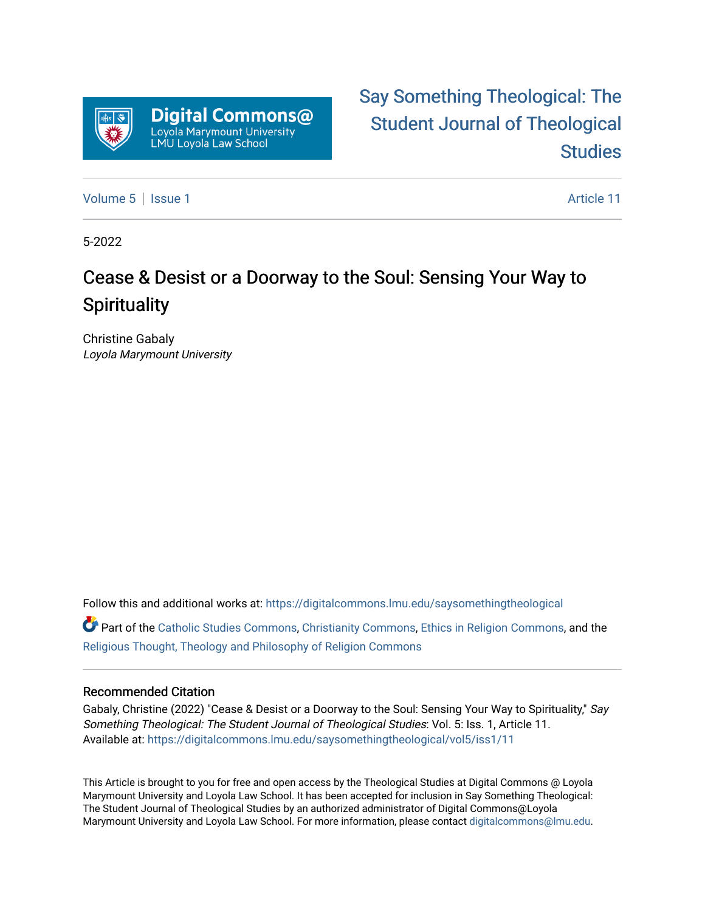

# [Say Something Theological: The](https://digitalcommons.lmu.edu/saysomethingtheological)  [Student Journal of Theological](https://digitalcommons.lmu.edu/saysomethingtheological)  **Studies**

[Volume 5](https://digitalcommons.lmu.edu/saysomethingtheological/vol5) | [Issue 1](https://digitalcommons.lmu.edu/saysomethingtheological/vol5/iss1) Article 11

5-2022

# Cease & Desist or a Doorway to the Soul: Sensing Your Way to **Spirituality**

Christine Gabaly Loyola Marymount University

Follow this and additional works at: [https://digitalcommons.lmu.edu/saysomethingtheological](https://digitalcommons.lmu.edu/saysomethingtheological?utm_source=digitalcommons.lmu.edu%2Fsaysomethingtheological%2Fvol5%2Fiss1%2F11&utm_medium=PDF&utm_campaign=PDFCoverPages)

Part of the [Catholic Studies Commons](http://network.bepress.com/hgg/discipline/1294?utm_source=digitalcommons.lmu.edu%2Fsaysomethingtheological%2Fvol5%2Fiss1%2F11&utm_medium=PDF&utm_campaign=PDFCoverPages), [Christianity Commons](http://network.bepress.com/hgg/discipline/1181?utm_source=digitalcommons.lmu.edu%2Fsaysomethingtheological%2Fvol5%2Fiss1%2F11&utm_medium=PDF&utm_campaign=PDFCoverPages), [Ethics in Religion Commons,](http://network.bepress.com/hgg/discipline/541?utm_source=digitalcommons.lmu.edu%2Fsaysomethingtheological%2Fvol5%2Fiss1%2F11&utm_medium=PDF&utm_campaign=PDFCoverPages) and the [Religious Thought, Theology and Philosophy of Religion Commons](http://network.bepress.com/hgg/discipline/544?utm_source=digitalcommons.lmu.edu%2Fsaysomethingtheological%2Fvol5%2Fiss1%2F11&utm_medium=PDF&utm_campaign=PDFCoverPages) 

#### Recommended Citation

Gabaly, Christine (2022) "Cease & Desist or a Doorway to the Soul: Sensing Your Way to Spirituality," Say Something Theological: The Student Journal of Theological Studies: Vol. 5: Iss. 1, Article 11. Available at: [https://digitalcommons.lmu.edu/saysomethingtheological/vol5/iss1/11](https://digitalcommons.lmu.edu/saysomethingtheological/vol5/iss1/11?utm_source=digitalcommons.lmu.edu%2Fsaysomethingtheological%2Fvol5%2Fiss1%2F11&utm_medium=PDF&utm_campaign=PDFCoverPages)

This Article is brought to you for free and open access by the Theological Studies at Digital Commons @ Loyola Marymount University and Loyola Law School. It has been accepted for inclusion in Say Something Theological: The Student Journal of Theological Studies by an authorized administrator of Digital Commons@Loyola Marymount University and Loyola Law School. For more information, please contact [digitalcommons@lmu.edu](mailto:digitalcommons@lmu.edu).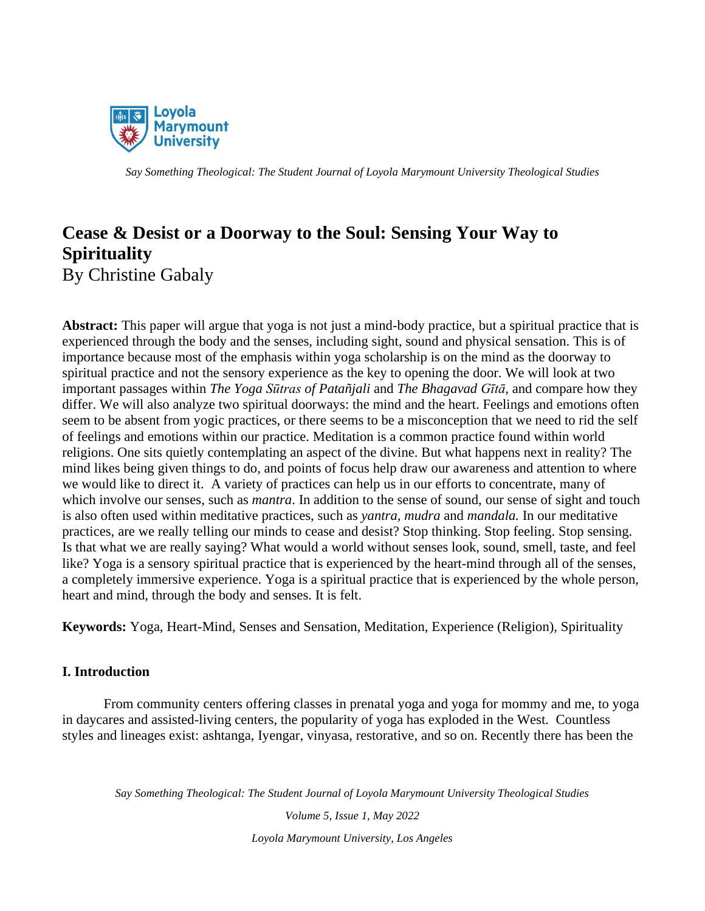

# **Cease & Desist or a Doorway to the Soul: Sensing Your Way to Spirituality** By Christine Gabaly

**Abstract:** This paper will argue that yoga is not just a mind-body practice, but a spiritual practice that is experienced through the body and the senses, including sight, sound and physical sensation. This is of importance because most of the emphasis within yoga scholarship is on the mind as the doorway to spiritual practice and not the sensory experience as the key to opening the door. We will look at two important passages within *The Yoga Sūtras of Patañjali* and *The Bhagavad Gītā,* and compare how they differ. We will also analyze two spiritual doorways: the mind and the heart. Feelings and emotions often seem to be absent from yogic practices, or there seems to be a misconception that we need to rid the self of feelings and emotions within our practice. Meditation is a common practice found within world religions. One sits quietly contemplating an aspect of the divine. But what happens next in reality? The mind likes being given things to do, and points of focus help draw our awareness and attention to where we would like to direct it. A variety of practices can help us in our efforts to concentrate, many of which involve our senses, such as *mantra*. In addition to the sense of sound, our sense of sight and touch is also often used within meditative practices, such as *yantra, mudra* and *mandala.* In our meditative practices, are we really telling our minds to cease and desist? Stop thinking. Stop feeling. Stop sensing. Is that what we are really saying? What would a world without senses look, sound, smell, taste, and feel like? Yoga is a sensory spiritual practice that is experienced by the heart-mind through all of the senses, a completely immersive experience. Yoga is a spiritual practice that is experienced by the whole person, heart and mind, through the body and senses. It is felt.

**Keywords:** Yoga, Heart-Mind, Senses and Sensation, Meditation, Experience (Religion), Spirituality

# **I. Introduction**

From community centers offering classes in prenatal yoga and yoga for mommy and me, to yoga in daycares and assisted-living centers, the popularity of yoga has exploded in the West. Countless styles and lineages exist: ashtanga, Iyengar, vinyasa, restorative, and so on. Recently there has been the

*Say Something Theological: The Student Journal of Loyola Marymount University Theological Studies*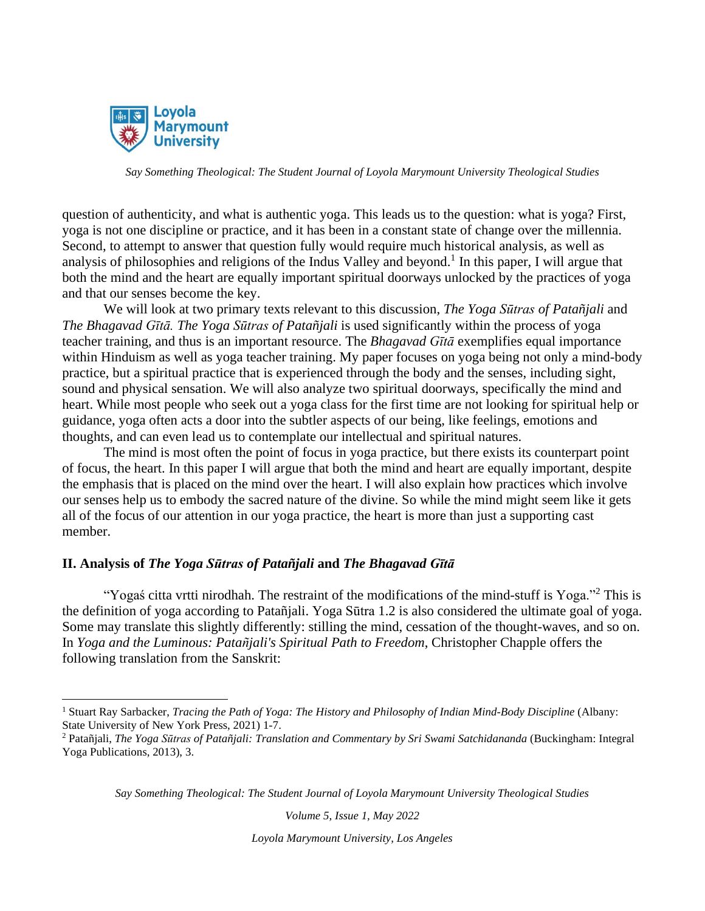

question of authenticity, and what is authentic yoga. This leads us to the question: what is yoga? First, yoga is not one discipline or practice, and it has been in a constant state of change over the millennia. Second, to attempt to answer that question fully would require much historical analysis, as well as analysis of philosophies and religions of the Indus Valley and beyond.<sup>1</sup> In this paper, I will argue that both the mind and the heart are equally important spiritual doorways unlocked by the practices of yoga and that our senses become the key.

We will look at two primary texts relevant to this discussion, *The Yoga Sūtras of Patañjali* and *The Bhagavad Gītā. The Yoga Sūtras of Patañjali* is used significantly within the process of yoga teacher training, and thus is an important resource. The *Bhagavad Gītā* exemplifies equal importance within Hinduism as well as yoga teacher training. My paper focuses on yoga being not only a mind-body practice, but a spiritual practice that is experienced through the body and the senses, including sight, sound and physical sensation. We will also analyze two spiritual doorways, specifically the mind and heart. While most people who seek out a yoga class for the first time are not looking for spiritual help or guidance, yoga often acts a door into the subtler aspects of our being, like feelings, emotions and thoughts, and can even lead us to contemplate our intellectual and spiritual natures.

The mind is most often the point of focus in yoga practice, but there exists its counterpart point of focus, the heart. In this paper I will argue that both the mind and heart are equally important, despite the emphasis that is placed on the mind over the heart. I will also explain how practices which involve our senses help us to embody the sacred nature of the divine. So while the mind might seem like it gets all of the focus of our attention in our yoga practice, the heart is more than just a supporting cast member.

# **II. Analysis of** *The Yoga Sūtras of Patañjali* **and** *The Bhagavad Gītā*

"Yogaś citta vrtti nirodhah. The restraint of the modifications of the mind-stuff is Yoga."<sup>2</sup> This is the definition of yoga according to Patañjali. Yoga Sūtra 1.2 is also considered the ultimate goal of yoga. Some may translate this slightly differently: stilling the mind, cessation of the thought-waves, and so on. In *Yoga and the Luminous: Patañjali's Spiritual Path to Freedom*, Christopher Chapple offers the following translation from the Sanskrit:

*Say Something Theological: The Student Journal of Loyola Marymount University Theological Studies*

*Volume 5, Issue 1, May 2022*

<sup>1</sup> Stuart Ray Sarbacker, *Tracing the Path of Yoga: The History and Philosophy of Indian Mind-Body Discipline* (Albany: State University of New York Press, 2021) 1-7.

<sup>2</sup> Patañjali, *The Yoga Sūtras of Patañjali: Translation and Commentary by Sri Swami Satchidananda* (Buckingham: Integral Yoga Publications, 2013), 3.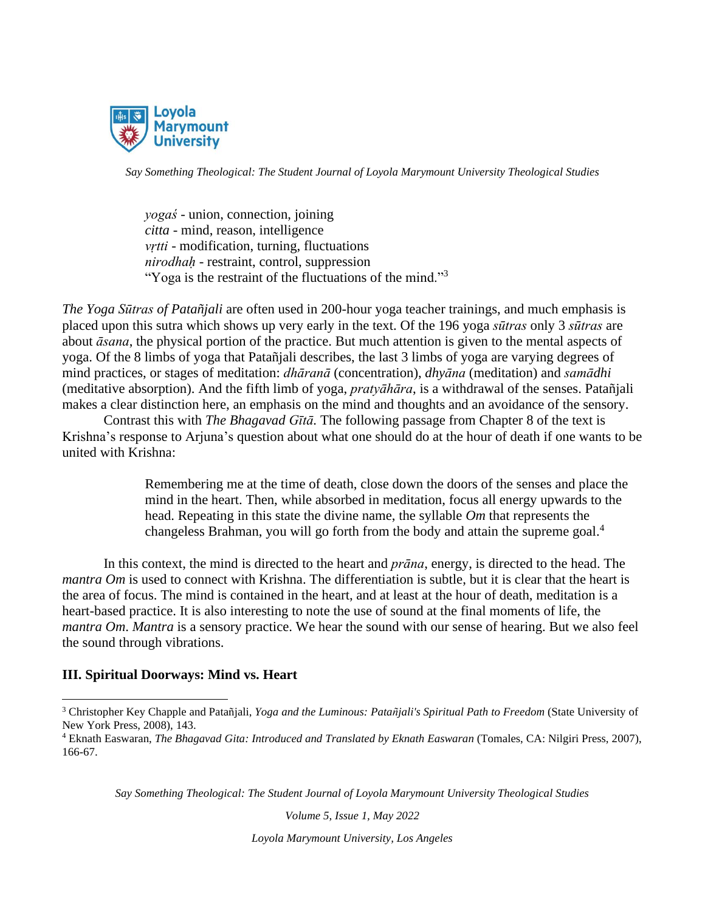

*yogaś* - union, connection, joining *citta* - mind, reason, intelligence *vṛtti* - modification, turning, fluctuations *nirodhaḥ* - restraint, control, suppression "Yoga is the restraint of the fluctuations of the mind."<sup>3</sup>

*The Yoga Sūtras of Patañjali* are often used in 200-hour yoga teacher trainings, and much emphasis is placed upon this sutra which shows up very early in the text. Of the 196 yoga *sūtras* only 3 *sūtras* are about *āsana*, the physical portion of the practice. But much attention is given to the mental aspects of yoga. Of the 8 limbs of yoga that Patañjali describes, the last 3 limbs of yoga are varying degrees of mind practices, or stages of meditation: *dhāranā* (concentration), *dhyāna* (meditation) and *samādhi* (meditative absorption). And the fifth limb of yoga, *pratyāhāra*, is a withdrawal of the senses. Patañjali makes a clear distinction here, an emphasis on the mind and thoughts and an avoidance of the sensory.

Contrast this with *The Bhagavad Gītā.* The following passage from Chapter 8 of the text is Krishna's response to Arjuna's question about what one should do at the hour of death if one wants to be united with Krishna:

> Remembering me at the time of death, close down the doors of the senses and place the mind in the heart. Then, while absorbed in meditation, focus all energy upwards to the head. Repeating in this state the divine name, the syllable *Om* that represents the changeless Brahman, you will go forth from the body and attain the supreme goal.<sup>4</sup>

In this context, the mind is directed to the heart and *prāna*, energy, is directed to the head. The *mantra Om* is used to connect with Krishna. The differentiation is subtle, but it is clear that the heart is the area of focus. The mind is contained in the heart, and at least at the hour of death, meditation is a heart-based practice. It is also interesting to note the use of sound at the final moments of life, the *mantra Om*. *Mantra* is a sensory practice. We hear the sound with our sense of hearing. But we also feel the sound through vibrations.

# **III. Spiritual Doorways: Mind vs. Heart**

*Say Something Theological: The Student Journal of Loyola Marymount University Theological Studies*

*Volume 5, Issue 1, May 2022*

<sup>3</sup> Christopher Key Chapple and Patañjali, *Yoga and the Luminous: Patañjali's Spiritual Path to Freedom* (State University of New York Press, 2008), 143.

<sup>4</sup> Eknath Easwaran, *The Bhagavad Gita: Introduced and Translated by Eknath Easwaran* (Tomales, CA: Nilgiri Press, 2007), 166-67.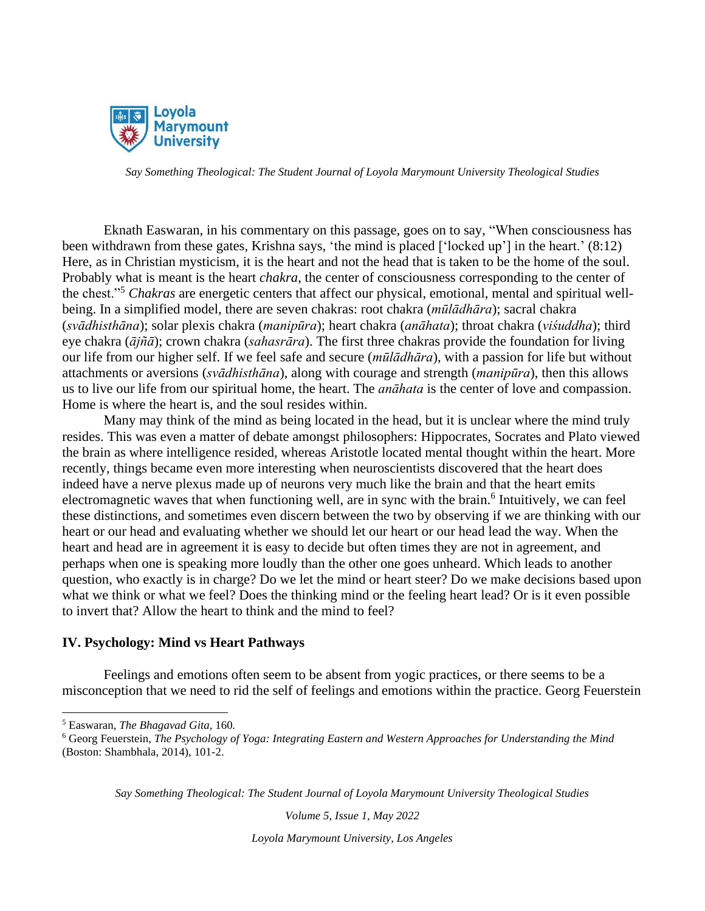

Eknath Easwaran, in his commentary on this passage, goes on to say, "When consciousness has been withdrawn from these gates, Krishna says, 'the mind is placed ['locked up'] in the heart.' (8:12) Here, as in Christian mysticism, it is the heart and not the head that is taken to be the home of the soul. Probably what is meant is the heart *chakra*, the center of consciousness corresponding to the center of the chest."<sup>5</sup> *Chakras* are energetic centers that affect our physical, emotional, mental and spiritual wellbeing. In a simplified model, there are seven chakras: root chakra (*mūlādhāra*); sacral chakra (*svādhisthāna*); solar plexis chakra (*manipūra*); heart chakra (*anāhata*); throat chakra (*viśuddha*); third eye chakra (*ājñā*); crown chakra (*sahasrāra*). The first three chakras provide the foundation for living our life from our higher self. If we feel safe and secure (*mūlādhāra*), with a passion for life but without attachments or aversions (*svādhisthāna*), along with courage and strength (*manipūra*), then this allows us to live our life from our spiritual home, the heart. The *anāhata* is the center of love and compassion. Home is where the heart is, and the soul resides within.

Many may think of the mind as being located in the head, but it is unclear where the mind truly resides. This was even a matter of debate amongst philosophers: Hippocrates, Socrates and Plato viewed the brain as where intelligence resided, whereas Aristotle located mental thought within the heart. More recently, things became even more interesting when neuroscientists discovered that the heart does indeed have a nerve plexus made up of neurons very much like the brain and that the heart emits electromagnetic waves that when functioning well, are in sync with the brain.<sup>6</sup> Intuitively, we can feel these distinctions, and sometimes even discern between the two by observing if we are thinking with our heart or our head and evaluating whether we should let our heart or our head lead the way. When the heart and head are in agreement it is easy to decide but often times they are not in agreement, and perhaps when one is speaking more loudly than the other one goes unheard. Which leads to another question, who exactly is in charge? Do we let the mind or heart steer? Do we make decisions based upon what we think or what we feel? Does the thinking mind or the feeling heart lead? Or is it even possible to invert that? Allow the heart to think and the mind to feel?

# **IV. Psychology: Mind vs Heart Pathways**

Feelings and emotions often seem to be absent from yogic practices, or there seems to be a misconception that we need to rid the self of feelings and emotions within the practice. Georg Feuerstein

*Say Something Theological: The Student Journal of Loyola Marymount University Theological Studies*

*Volume 5, Issue 1, May 2022*

<sup>5</sup> Easwaran, *The Bhagavad Gita,* 160*.*

<sup>6</sup> Georg Feuerstein, *The Psychology of Yoga: Integrating Eastern and Western Approaches for Understanding the Mind* (Boston: Shambhala, 2014), 101-2.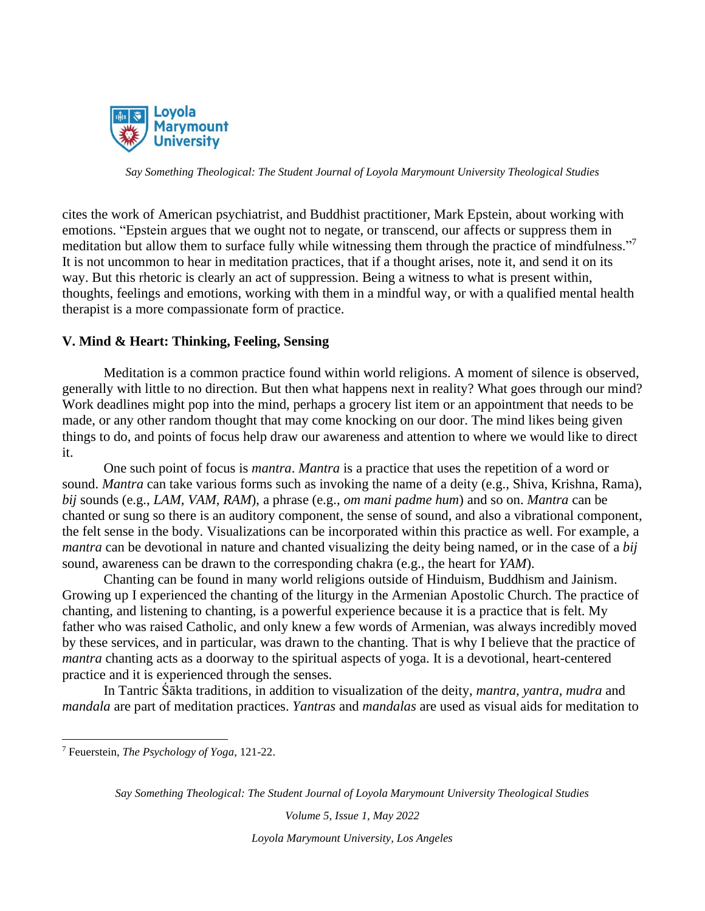

cites the work of American psychiatrist, and Buddhist practitioner, Mark Epstein, about working with emotions. "Epstein argues that we ought not to negate, or transcend, our affects or suppress them in meditation but allow them to surface fully while witnessing them through the practice of mindfulness."<sup>7</sup> It is not uncommon to hear in meditation practices, that if a thought arises, note it, and send it on its way. But this rhetoric is clearly an act of suppression. Being a witness to what is present within, thoughts, feelings and emotions, working with them in a mindful way, or with a qualified mental health therapist is a more compassionate form of practice.

# **V. Mind & Heart: Thinking, Feeling, Sensing**

Meditation is a common practice found within world religions. A moment of silence is observed, generally with little to no direction. But then what happens next in reality? What goes through our mind? Work deadlines might pop into the mind, perhaps a grocery list item or an appointment that needs to be made, or any other random thought that may come knocking on our door. The mind likes being given things to do, and points of focus help draw our awareness and attention to where we would like to direct it.

One such point of focus is *mantra*. *Mantra* is a practice that uses the repetition of a word or sound. *Mantra* can take various forms such as invoking the name of a deity (e.g., Shiva, Krishna, Rama), *bij* sounds (e.g., *LAM, VAM, RAM*), a phrase (e.g., *om mani padme hum*) and so on. *Mantra* can be chanted or sung so there is an auditory component, the sense of sound, and also a vibrational component, the felt sense in the body. Visualizations can be incorporated within this practice as well. For example, a *mantra* can be devotional in nature and chanted visualizing the deity being named, or in the case of a *bij* sound, awareness can be drawn to the corresponding chakra (e.g., the heart for *YAM*).

Chanting can be found in many world religions outside of Hinduism, Buddhism and Jainism. Growing up I experienced the chanting of the liturgy in the Armenian Apostolic Church. The practice of chanting, and listening to chanting, is a powerful experience because it is a practice that is felt. My father who was raised Catholic, and only knew a few words of Armenian, was always incredibly moved by these services, and in particular, was drawn to the chanting. That is why I believe that the practice of *mantra* chanting acts as a doorway to the spiritual aspects of yoga. It is a devotional, heart-centered practice and it is experienced through the senses.

In Tantric Śākta traditions, in addition to visualization of the deity, *mantra, yantra, mudra* and *mandala* are part of meditation practices. *Yantras* and *mandalas* are used as visual aids for meditation to

<sup>7</sup> Feuerstein, *The Psychology of Yoga*, 121-22.

*Say Something Theological: The Student Journal of Loyola Marymount University Theological Studies*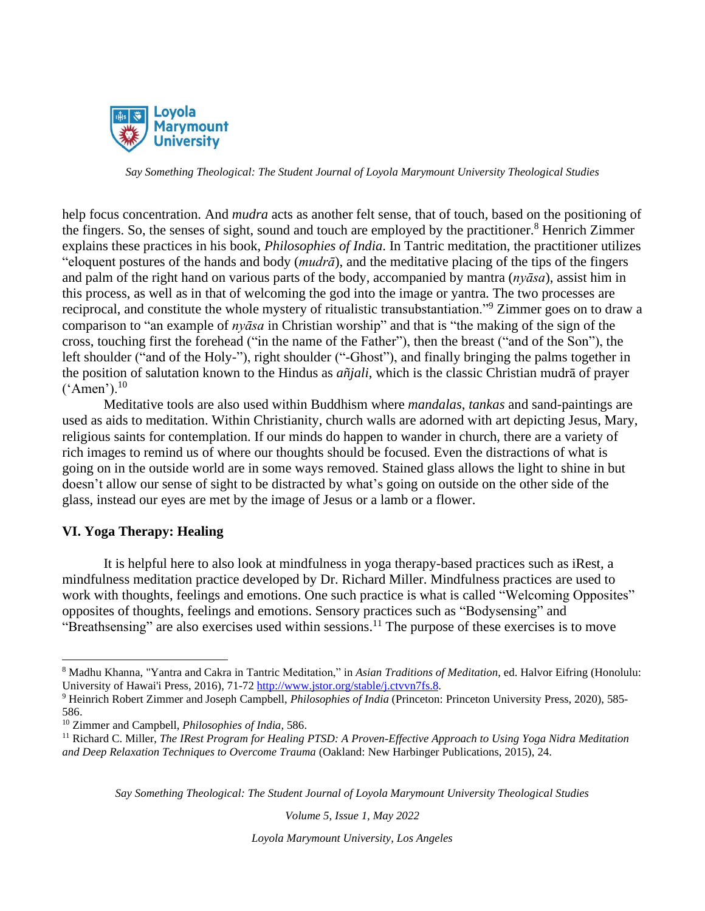

help focus concentration. And *mudra* acts as another felt sense, that of touch, based on the positioning of the fingers. So, the senses of sight, sound and touch are employed by the practitioner.<sup>8</sup> Henrich Zimmer explains these practices in his book, *Philosophies of India*. In Tantric meditation, the practitioner utilizes "eloquent postures of the hands and body (*mudrā*), and the meditative placing of the tips of the fingers and palm of the right hand on various parts of the body, accompanied by mantra (*nyāsa*), assist him in this process, as well as in that of welcoming the god into the image or yantra. The two processes are reciprocal, and constitute the whole mystery of ritualistic transubstantiation."<sup>9</sup> Zimmer goes on to draw a comparison to "an example of *nyāsa* in Christian worship" and that is "the making of the sign of the cross, touching first the forehead ("in the name of the Father"), then the breast ("and of the Son"), the left shoulder ("and of the Holy-"), right shoulder ("-Ghost"), and finally bringing the palms together in the position of salutation known to the Hindus as *añjali*, which is the classic Christian mudrā of prayer  $(^{\circ}$ Amen').<sup>10</sup>

Meditative tools are also used within Buddhism where *mandalas*, *tankas* and sand-paintings are used as aids to meditation. Within Christianity, church walls are adorned with art depicting Jesus, Mary, religious saints for contemplation. If our minds do happen to wander in church, there are a variety of rich images to remind us of where our thoughts should be focused. Even the distractions of what is going on in the outside world are in some ways removed. Stained glass allows the light to shine in but doesn't allow our sense of sight to be distracted by what's going on outside on the other side of the glass, instead our eyes are met by the image of Jesus or a lamb or a flower.

# **VI. Yoga Therapy: Healing**

It is helpful here to also look at mindfulness in yoga therapy-based practices such as iRest, a mindfulness meditation practice developed by Dr. Richard Miller. Mindfulness practices are used to work with thoughts, feelings and emotions. One such practice is what is called "Welcoming Opposites" opposites of thoughts, feelings and emotions. Sensory practices such as "Bodysensing" and "Breathsensing" are also exercises used within sessions.<sup>11</sup> The purpose of these exercises is to move

*Say Something Theological: The Student Journal of Loyola Marymount University Theological Studies*

*Volume 5, Issue 1, May 2022*

<sup>8</sup> Madhu Khanna, "Yantra and Cakra in Tantric Meditation," in *Asian Traditions of Meditation*, ed. Halvor Eifring (Honolulu: University of Hawai'i Press, 2016), 71-72 [http://www.jstor.org/stable/j.ctvvn7fs.8.](http://www.jstor.org/stable/j.ctvvn7fs.8)

<sup>9</sup> Heinrich Robert Zimmer and Joseph Campbell, *Philosophies of India* (Princeton: Princeton University Press, 2020), 585- 586.

<sup>10</sup> Zimmer and Campbell, *Philosophies of India,* 586.

<sup>11</sup> Richard C. Miller, *The IRest Program for Healing PTSD: A Proven-Effective Approach to Using Yoga Nidra Meditation and Deep Relaxation Techniques to Overcome Trauma* (Oakland: New Harbinger Publications, 2015), 24.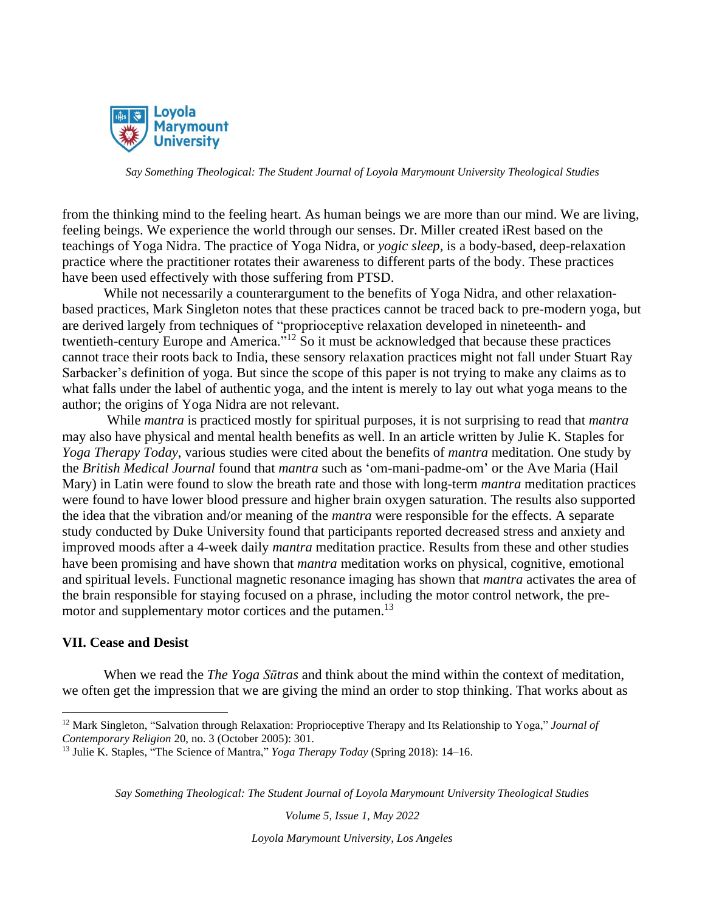

from the thinking mind to the feeling heart. As human beings we are more than our mind. We are living, feeling beings. We experience the world through our senses. Dr. Miller created iRest based on the teachings of Yoga Nidra. The practice of Yoga Nidra, or *yogic sleep,* is a body-based, deep-relaxation practice where the practitioner rotates their awareness to different parts of the body. These practices have been used effectively with those suffering from PTSD.

While not necessarily a counterargument to the benefits of Yoga Nidra, and other relaxationbased practices, Mark Singleton notes that these practices cannot be traced back to pre-modern yoga, but are derived largely from techniques of "proprioceptive relaxation developed in nineteenth- and twentieth-century Europe and America."<sup>12</sup> So it must be acknowledged that because these practices cannot trace their roots back to India, these sensory relaxation practices might not fall under Stuart Ray Sarbacker's definition of yoga. But since the scope of this paper is not trying to make any claims as to what falls under the label of authentic yoga, and the intent is merely to lay out what yoga means to the author; the origins of Yoga Nidra are not relevant.

While *mantra* is practiced mostly for spiritual purposes, it is not surprising to read that *mantra* may also have physical and mental health benefits as well. In an article written by Julie K. Staples for *Yoga Therapy Today*, various studies were cited about the benefits of *mantra* meditation. One study by the *British Medical Journal* found that *mantra* such as 'om-mani-padme-om' or the Ave Maria (Hail Mary) in Latin were found to slow the breath rate and those with long-term *mantra* meditation practices were found to have lower blood pressure and higher brain oxygen saturation. The results also supported the idea that the vibration and/or meaning of the *mantra* were responsible for the effects. A separate study conducted by Duke University found that participants reported decreased stress and anxiety and improved moods after a 4-week daily *mantra* meditation practice. Results from these and other studies have been promising and have shown that *mantra* meditation works on physical, cognitive, emotional and spiritual levels. Functional magnetic resonance imaging has shown that *mantra* activates the area of the brain responsible for staying focused on a phrase, including the motor control network, the premotor and supplementary motor cortices and the putamen.<sup>13</sup>

# **VII. Cease and Desist**

When we read the *The Yoga Sūtras* and think about the mind within the context of meditation, we often get the impression that we are giving the mind an order to stop thinking. That works about as

*Say Something Theological: The Student Journal of Loyola Marymount University Theological Studies*

*Volume 5, Issue 1, May 2022*

<sup>12</sup> Mark Singleton, "Salvation through Relaxation: Proprioceptive Therapy and Its Relationship to Yoga," *Journal of Contemporary Religion* 20, no. 3 (October 2005): 301.

<sup>13</sup> Julie K. Staples, "The Science of Mantra," *Yoga Therapy Today* (Spring 2018): 14–16.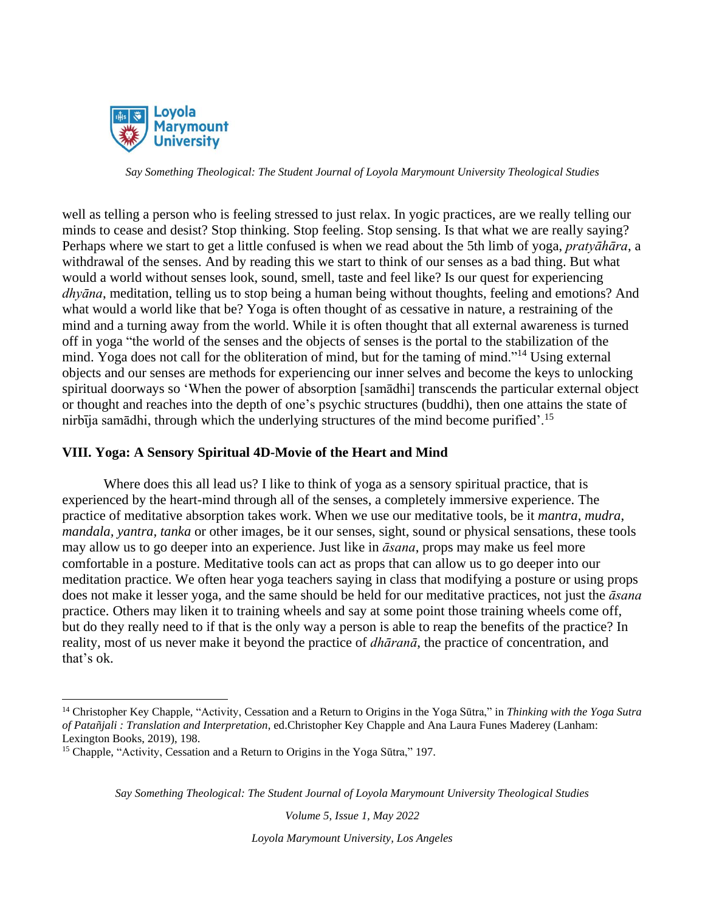

well as telling a person who is feeling stressed to just relax. In yogic practices, are we really telling our minds to cease and desist? Stop thinking. Stop feeling. Stop sensing. Is that what we are really saying? Perhaps where we start to get a little confused is when we read about the 5th limb of yoga, *pratyāhāra*, a withdrawal of the senses. And by reading this we start to think of our senses as a bad thing. But what would a world without senses look, sound, smell, taste and feel like? Is our quest for experiencing *dhyāna*, meditation, telling us to stop being a human being without thoughts, feeling and emotions? And what would a world like that be? Yoga is often thought of as cessative in nature, a restraining of the mind and a turning away from the world. While it is often thought that all external awareness is turned off in yoga "the world of the senses and the objects of senses is the portal to the stabilization of the mind. Yoga does not call for the obliteration of mind, but for the taming of mind."<sup>14</sup> Using external objects and our senses are methods for experiencing our inner selves and become the keys to unlocking spiritual doorways so 'When the power of absorption [samādhi] transcends the particular external object or thought and reaches into the depth of one's psychic structures (buddhi), then one attains the state of nirbīja samādhi, through which the underlying structures of the mind become purified'.<sup>15</sup>

# **VIII. Yoga: A Sensory Spiritual 4D-Movie of the Heart and Mind**

Where does this all lead us? I like to think of yoga as a sensory spiritual practice, that is experienced by the heart-mind through all of the senses, a completely immersive experience. The practice of meditative absorption takes work. When we use our meditative tools, be it *mantra*, *mudra*, *mandala, yantra, tanka* or other images, be it our senses, sight, sound or physical sensations, these tools may allow us to go deeper into an experience. Just like in *āsana*, props may make us feel more comfortable in a posture. Meditative tools can act as props that can allow us to go deeper into our meditation practice. We often hear yoga teachers saying in class that modifying a posture or using props does not make it lesser yoga, and the same should be held for our meditative practices, not just the *āsana* practice. Others may liken it to training wheels and say at some point those training wheels come off, but do they really need to if that is the only way a person is able to reap the benefits of the practice? In reality, most of us never make it beyond the practice of *dhāranā*, the practice of concentration, and that's ok.

*Say Something Theological: The Student Journal of Loyola Marymount University Theological Studies*

*Volume 5, Issue 1, May 2022*

<sup>14</sup> Christopher Key Chapple, "Activity, Cessation and a Return to Origins in the Yoga Sūtra," in *Thinking with the Yoga Sutra of Patañjali : Translation and Interpretation*, ed.Christopher Key Chapple and Ana Laura Funes Maderey (Lanham: Lexington Books, 2019), 198.

<sup>&</sup>lt;sup>15</sup> Chapple, "Activity, Cessation and a Return to Origins in the Yoga Sūtra," 197.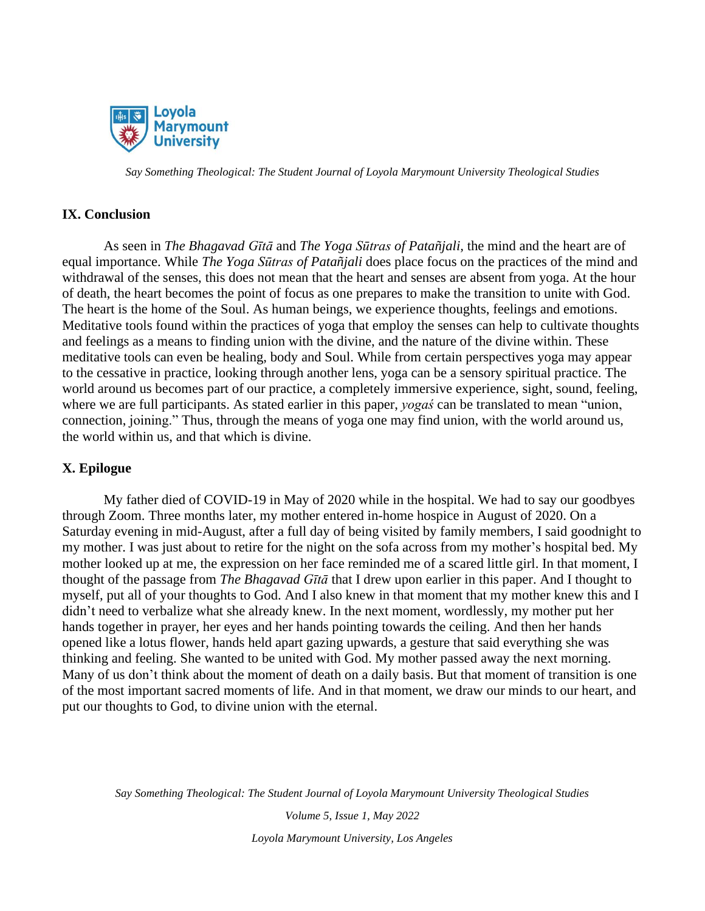

#### **IX. Conclusion**

As seen in *The Bhagavad Gītā* and *The Yoga Sūtras of Patañjali,* the mind and the heart are of equal importance. While *The Yoga Sūtras of Patañjali* does place focus on the practices of the mind and withdrawal of the senses, this does not mean that the heart and senses are absent from yoga. At the hour of death, the heart becomes the point of focus as one prepares to make the transition to unite with God. The heart is the home of the Soul. As human beings, we experience thoughts, feelings and emotions. Meditative tools found within the practices of yoga that employ the senses can help to cultivate thoughts and feelings as a means to finding union with the divine, and the nature of the divine within. These meditative tools can even be healing, body and Soul. While from certain perspectives yoga may appear to the cessative in practice, looking through another lens, yoga can be a sensory spiritual practice. The world around us becomes part of our practice, a completely immersive experience, sight, sound, feeling, where we are full participants. As stated earlier in this paper, *yogaś* can be translated to mean "union, connection, joining." Thus, through the means of yoga one may find union, with the world around us, the world within us, and that which is divine.

# **X. Epilogue**

My father died of COVID-19 in May of 2020 while in the hospital. We had to say our goodbyes through Zoom. Three months later, my mother entered in-home hospice in August of 2020. On a Saturday evening in mid-August, after a full day of being visited by family members, I said goodnight to my mother. I was just about to retire for the night on the sofa across from my mother's hospital bed. My mother looked up at me, the expression on her face reminded me of a scared little girl. In that moment, I thought of the passage from *The Bhagavad Gītā* that I drew upon earlier in this paper. And I thought to myself, put all of your thoughts to God. And I also knew in that moment that my mother knew this and I didn't need to verbalize what she already knew. In the next moment, wordlessly, my mother put her hands together in prayer, her eyes and her hands pointing towards the ceiling. And then her hands opened like a lotus flower, hands held apart gazing upwards, a gesture that said everything she was thinking and feeling. She wanted to be united with God. My mother passed away the next morning. Many of us don't think about the moment of death on a daily basis. But that moment of transition is one of the most important sacred moments of life. And in that moment, we draw our minds to our heart, and put our thoughts to God, to divine union with the eternal.

*Say Something Theological: The Student Journal of Loyola Marymount University Theological Studies*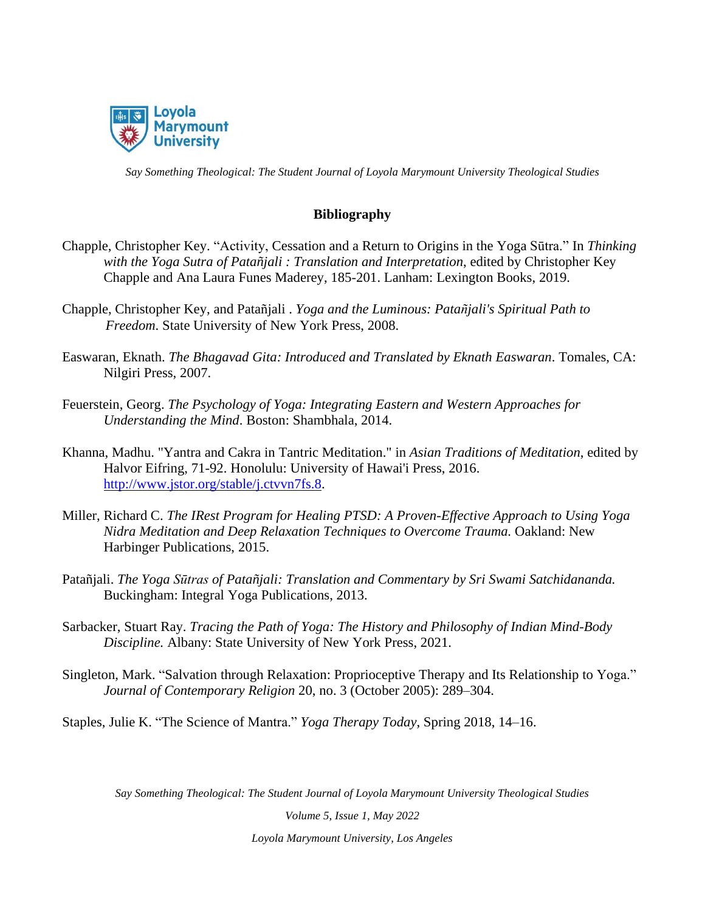

# **Bibliography**

- Chapple, Christopher Key. "Activity, Cessation and a Return to Origins in the Yoga Sūtra." In *Thinking with the Yoga Sutra of Patañjali : Translation and Interpretation*, edited by Christopher Key Chapple and Ana Laura Funes Maderey, 185-201. Lanham: Lexington Books, 2019.
- Chapple, Christopher Key, and Patañjali . *Yoga and the Luminous: Patañjali's Spiritual Path to Freedom*. State University of New York Press, 2008.
- Easwaran, Eknath. *The Bhagavad Gita: Introduced and Translated by Eknath Easwaran*. Tomales, CA: Nilgiri Press, 2007.
- Feuerstein, Georg. *The Psychology of Yoga: Integrating Eastern and Western Approaches for Understanding the Mind*. Boston: Shambhala, 2014.
- Khanna, Madhu. "Yantra and Cakra in Tantric Meditation." in *Asian Traditions of Meditation*, edited by Halvor Eifring, 71-92. Honolulu: University of Hawai'i Press, 2016. [http://www.jstor.org/stable/j.ctvvn7fs.8.](http://www.jstor.org/stable/j.ctvvn7fs.8)
- Miller, Richard C. *The IRest Program for Healing PTSD: A Proven-Effective Approach to Using Yoga Nidra Meditation and Deep Relaxation Techniques to Overcome Trauma.* Oakland: New Harbinger Publications, 2015.
- Patañjali. *The Yoga Sūtras of Patañjali: Translation and Commentary by Sri Swami Satchidananda.* Buckingham: Integral Yoga Publications, 2013.
- Sarbacker, Stuart Ray. *Tracing the Path of Yoga: The History and Philosophy of Indian Mind-Body Discipline.* Albany: State University of New York Press, 2021.
- Singleton, Mark. "Salvation through Relaxation: Proprioceptive Therapy and Its Relationship to Yoga." *Journal of Contemporary Religion* 20, no. 3 (October 2005): 289–304.

Staples, Julie K. "The Science of Mantra." *Yoga Therapy Today*, Spring 2018, 14–16.

*Say Something Theological: The Student Journal of Loyola Marymount University Theological Studies*